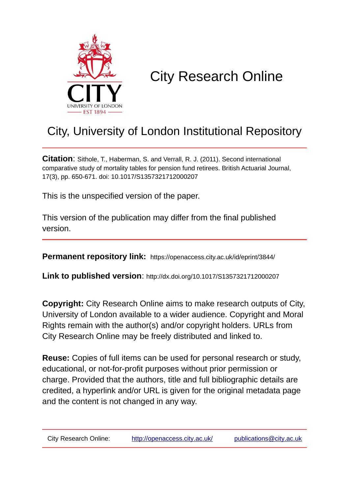

# City Research Online

## City, University of London Institutional Repository

**Citation**: Sithole, T., Haberman, S. and Verrall, R. J. (2011). Second international comparative study of mortality tables for pension fund retirees. British Actuarial Journal, 17(3), pp. 650-671. doi: 10.1017/S1357321712000207

This is the unspecified version of the paper.

This version of the publication may differ from the final published version.

**Permanent repository link:** https://openaccess.city.ac.uk/id/eprint/3844/

**Link to published version**: http://dx.doi.org/10.1017/S1357321712000207

**Copyright:** City Research Online aims to make research outputs of City, University of London available to a wider audience. Copyright and Moral Rights remain with the author(s) and/or copyright holders. URLs from City Research Online may be freely distributed and linked to.

**Reuse:** Copies of full items can be used for personal research or study, educational, or not-for-profit purposes without prior permission or charge. Provided that the authors, title and full bibliographic details are credited, a hyperlink and/or URL is given for the original metadata page and the content is not changed in any way.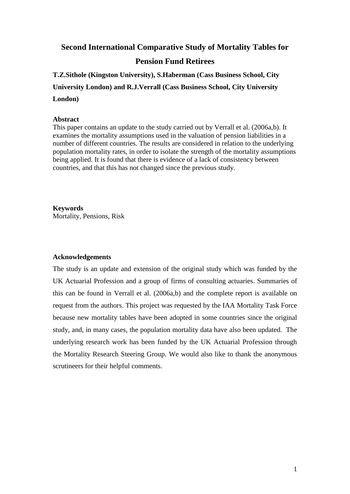**Second International Comparative Study of Mortality Tables for** 

## **Pension Fund Retirees**

**T.Z.Sithole (Kingston University), S.Haberman (Cass Business School, City University London) and R.J.Verrall (Cass Business School, City University London)**

## **Abstract**

This paper contains an update to the study carried out by Verrall et al. (2006a,b). It examines the mortality assumptions used in the valuation of pension liabilities in a number of different countries. The results are considered in relation to the underlying population mortality rates, in order to isolate the strength of the mortality assumptions being applied. It is found that there is evidence of a lack of consistency between countries, and that this has not changed since the previous study.

**Keywords** Mortality, Pensions, Risk

## **Acknowledgements**

The study is an update and extension of the original study which was funded by the UK Actuarial Profession and a group of firms of consulting actuaries. Summaries of this can be found in Verrall et al. (2006a,b) and the complete report is available on request from the authors. This project was requested by the IAA Mortality Task Force because new mortality tables have been adopted in some countries since the original study, and, in many cases, the population mortality data have also been updated. The underlying research work has been funded by the UK Actuarial Profession through the Mortality Research Steering Group. We would also like to thank the anonymous scrutineers for their helpful comments.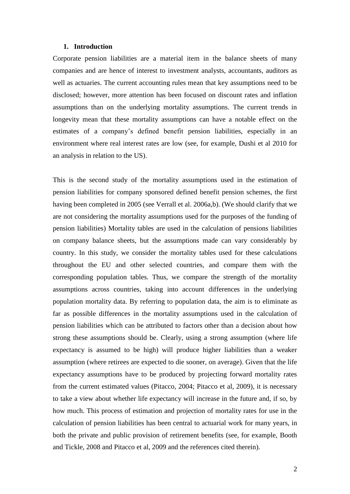#### **1. Introduction**

Corporate pension liabilities are a material item in the balance sheets of many companies and are hence of interest to investment analysts, accountants, auditors as well as actuaries. The current accounting rules mean that key assumptions need to be disclosed; however, more attention has been focused on discount rates and inflation assumptions than on the underlying mortality assumptions. The current trends in longevity mean that these mortality assumptions can have a notable effect on the estimates of a company's defined benefit pension liabilities, especially in an environment where real interest rates are low (see, for example, Dushi et al 2010 for an analysis in relation to the US).

This is the second study of the mortality assumptions used in the estimation of pension liabilities for company sponsored defined benefit pension schemes, the first having been completed in 2005 (see Verrall et al. 2006a,b). (We should clarify that we are not considering the mortality assumptions used for the purposes of the funding of pension liabilities) Mortality tables are used in the calculation of pensions liabilities on company balance sheets, but the assumptions made can vary considerably by country. In this study, we consider the mortality tables used for these calculations throughout the EU and other selected countries, and compare them with the corresponding population tables. Thus, we compare the strength of the mortality assumptions across countries, taking into account differences in the underlying population mortality data. By referring to population data, the aim is to eliminate as far as possible differences in the mortality assumptions used in the calculation of pension liabilities which can be attributed to factors other than a decision about how strong these assumptions should be. Clearly, using a strong assumption (where life expectancy is assumed to be high) will produce higher liabilities than a weaker assumption (where retirees are expected to die sooner, on average). Given that the life expectancy assumptions have to be produced by projecting forward mortality rates from the current estimated values (Pitacco, 2004; Pitacco et al, 2009), it is necessary to take a view about whether life expectancy will increase in the future and, if so, by how much. This process of estimation and projection of mortality rates for use in the calculation of pension liabilities has been central to actuarial work for many years, in both the private and public provision of retirement benefits (see, for example, Booth and Tickle, 2008 and Pitacco et al, 2009 and the references cited therein).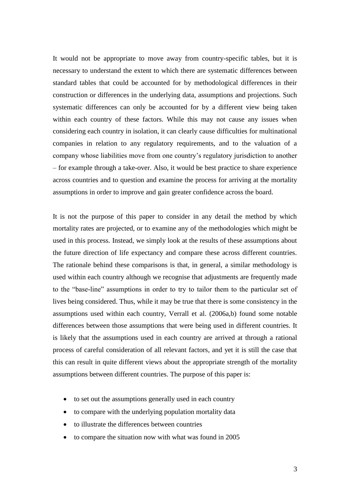It would not be appropriate to move away from country-specific tables, but it is necessary to understand the extent to which there are systematic differences between standard tables that could be accounted for by methodological differences in their construction or differences in the underlying data, assumptions and projections. Such systematic differences can only be accounted for by a different view being taken within each country of these factors. While this may not cause any issues when considering each country in isolation, it can clearly cause difficulties for multinational companies in relation to any regulatory requirements, and to the valuation of a company whose liabilities move from one country's regulatory jurisdiction to another – for example through a take-over. Also, it would be best practice to share experience across countries and to question and examine the process for arriving at the mortality assumptions in order to improve and gain greater confidence across the board.

It is not the purpose of this paper to consider in any detail the method by which mortality rates are projected, or to examine any of the methodologies which might be used in this process. Instead, we simply look at the results of these assumptions about the future direction of life expectancy and compare these across different countries. The rationale behind these comparisons is that, in general, a similar methodology is used within each country although we recognise that adjustments are frequently made to the "base-line" assumptions in order to try to tailor them to the particular set of lives being considered. Thus, while it may be true that there is some consistency in the assumptions used within each country, Verrall et al. (2006a,b) found some notable differences between those assumptions that were being used in different countries. It is likely that the assumptions used in each country are arrived at through a rational process of careful consideration of all relevant factors, and yet it is still the case that this can result in quite different views about the appropriate strength of the mortality assumptions between different countries. The purpose of this paper is:

- to set out the assumptions generally used in each country
- to compare with the underlying population mortality data
- to illustrate the differences between countries
- to compare the situation now with what was found in 2005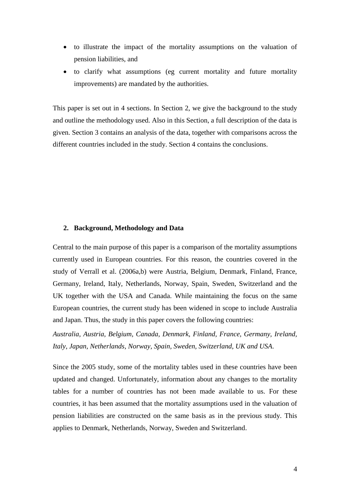- to illustrate the impact of the mortality assumptions on the valuation of pension liabilities, and
- to clarify what assumptions (eg current mortality and future mortality improvements) are mandated by the authorities.

This paper is set out in 4 sections. In Section 2, we give the background to the study and outline the methodology used. Also in this Section, a full description of the data is given. Section 3 contains an analysis of the data, together with comparisons across the different countries included in the study. Section 4 contains the conclusions.

## **2. Background, Methodology and Data**

Central to the main purpose of this paper is a comparison of the mortality assumptions currently used in European countries. For this reason, the countries covered in the study of Verrall et al. (2006a,b) were Austria, Belgium, Denmark, Finland, France, Germany, Ireland, Italy, Netherlands, Norway, Spain, Sweden, Switzerland and the UK together with the USA and Canada. While maintaining the focus on the same European countries, the current study has been widened in scope to include Australia and Japan. Thus, the study in this paper covers the following countries:

*Australia, Austria, Belgium, Canada, Denmark, Finland, France, Germany, Ireland, Italy, Japan, Netherlands, Norway, Spain, Sweden, Switzerland, UK and USA*.

Since the 2005 study, some of the mortality tables used in these countries have been updated and changed. Unfortunately, information about any changes to the mortality tables for a number of countries has not been made available to us. For these countries, it has been assumed that the mortality assumptions used in the valuation of pension liabilities are constructed on the same basis as in the previous study. This applies to Denmark, Netherlands, Norway, Sweden and Switzerland.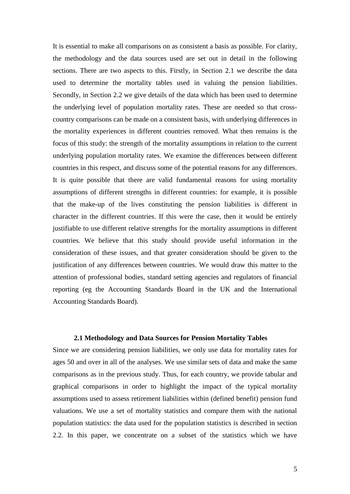It is essential to make all comparisons on as consistent a basis as possible. For clarity, the methodology and the data sources used are set out in detail in the following sections. There are two aspects to this. Firstly, in Section 2.1 we describe the data used to determine the mortality tables used in valuing the pension liabilities. Secondly, in Section 2.2 we give details of the data which has been used to determine the underlying level of population mortality rates. These are needed so that crosscountry comparisons can be made on a consistent basis, with underlying differences in the mortality experiences in different countries removed. What then remains is the focus of this study: the strength of the mortality assumptions in relation to the current underlying population mortality rates. We examine the differences between different countries in this respect, and discuss some of the potential reasons for any differences. It is quite possible that there are valid fundamental reasons for using mortality assumptions of different strengths in different countries: for example, it is possible that the make-up of the lives constituting the pension liabilities is different in character in the different countries. If this were the case, then it would be entirely justifiable to use different relative strengths for the mortality assumptions in different countries. We believe that this study should provide useful information in the consideration of these issues, and that greater consideration should be given to the justification of any differences between countries. We would draw this matter to the attention of professional bodies, standard setting agencies and regulators of financial reporting (eg the Accounting Standards Board in the UK and the International Accounting Standards Board).

## **2.1 Methodology and Data Sources for Pension Mortality Tables**

Since we are considering pension liabilities, we only use data for mortality rates for ages 50 and over in all of the analyses. We use similar sets of data and make the same comparisons as in the previous study. Thus, for each country, we provide tabular and graphical comparisons in order to highlight the impact of the typical mortality assumptions used to assess retirement liabilities within (defined benefit) pension fund valuations. We use a set of mortality statistics and compare them with the national population statistics: the data used for the population statistics is described in section 2.2. In this paper, we concentrate on a subset of the statistics which we have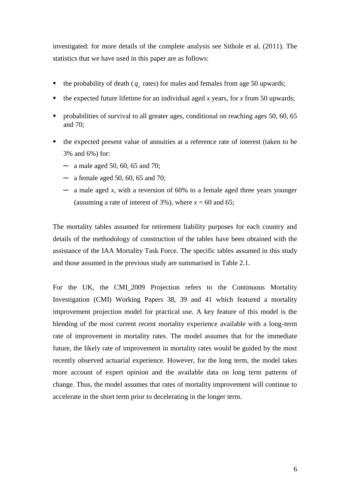investigated: for more details of the complete analysis see Sithole et al. (2011). The statistics that we have used in this paper are as follows:

- the probability of death ( $q_x$  rates) for males and females from age 50 upwards;
- the expected future lifetime for an individual aged *x* years, for *x* from 50 upwards;
- **•** probabilities of survival to all greater ages, conditional on reaching ages 50, 60, 65 and 70;
- the expected present value of annuities at a reference rate of interest (taken to be 3% and 6%) for:
	- $-$  a male aged 50, 60, 65 and 70;
	- ─ a female aged 50, 60, 65 and 70;
	- ─ a male aged *x*, with a reversion of 60% to a female aged three years younger (assuming a rate of interest of 3%), where  $x = 60$  and 65;

The mortality tables assumed for retirement liability purposes for each country and details of the methodology of construction of the tables have been obtained with the assistance of the IAA Mortality Task Force. The specific tables assumed in this study and those assumed in the previous study are summarised in Table 2.1.

For the UK, the CMI\_2009 Projection refers to the Continuous Mortality Investigation (CMI) Working Papers 38, 39 and 41 which featured a mortality improvement projection model for practical use. A key feature of this model is the blending of the most current recent mortality experience available with a long-term rate of improvement in mortality rates. The model assumes that for the immediate future, the likely rate of improvement in mortality rates would be guided by the most recently observed actuarial experience. However, for the long term, the model takes more account of expert opinion and the available data on long term patterns of change. Thus, the model assumes that rates of mortality improvement will continue to accelerate in the short term prior to decelerating in the longer term.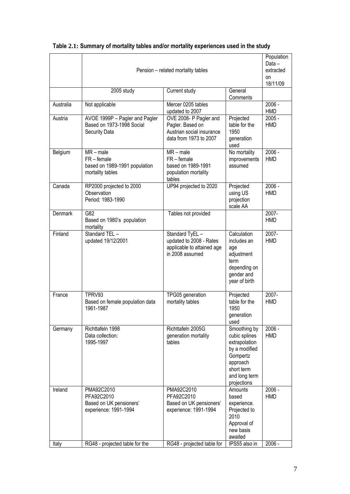|           | Pension - related mortality tables                                                |                                                                                                   |                                                                                                                                       | Population<br>Data-<br>extracted<br>on<br>18/11/09 |
|-----------|-----------------------------------------------------------------------------------|---------------------------------------------------------------------------------------------------|---------------------------------------------------------------------------------------------------------------------------------------|----------------------------------------------------|
|           | 2005 study                                                                        | Current study                                                                                     | General<br>Comments                                                                                                                   |                                                    |
| Australia | Not applicable                                                                    | Mercer 0205 tables<br>updated to 2007                                                             |                                                                                                                                       | 2006 -<br><b>HMD</b>                               |
| Austria   | AVOE 1999P - Pagler and Pagler<br>Based on 1973-1998 Social<br>Security Data      | OVE 2008- P Pagler and<br>Pagler. Based on<br>Austrian social insurance<br>data from 1973 to 2007 | Projected<br>table for the<br>1950<br>generation<br>used                                                                              | $2005 -$<br><b>HMD</b>                             |
| Belgium   | $MR - male$<br>$FR$ – female<br>based on 1989-1991 population<br>mortality tables | $MR - male$<br>$FR$ – female<br>based on 1989-1991<br>population mortality<br>tables              | No mortality<br>improvements<br>assumed                                                                                               | $2006 -$<br><b>HMD</b>                             |
| Canada    | RP2000 projected to 2000<br>Observation<br>Period: 1983-1990                      | UP94 projected to 2020                                                                            | Projected<br>using US<br>projection<br>scale AA                                                                                       | 2006 -<br><b>HMD</b>                               |
| Denmark   | G82<br>Based on 1980's population<br>mortality                                    | Tables not provided                                                                               |                                                                                                                                       | 2007-<br><b>HMD</b>                                |
| Finland   | Standard TEL -<br>updated 19/12/2001                                              | Standard TyEL -<br>updated to 2008 - Rates<br>applicable to attained age<br>in 2008 assumed       | Calculation<br>includes an<br>age<br>adjustment<br>term<br>depending on<br>gender and<br>year of birth                                | 2007-<br><b>HMD</b>                                |
| France    | TPRV93<br>Based on female population data<br>1961-1987                            | TPG05 generation<br>mortality tables                                                              | Projected<br>table for the<br>1950<br>generation<br>used                                                                              | 2007-<br><b>HMD</b>                                |
| Germany   | Richttafeln 1998<br>Data collection:<br>1995-1997                                 | Richttafeln 2005G<br>generation mortality<br>tables                                               | Smoothing by<br>cubic splines<br>extrapolation<br>by a modified<br>Gompertz<br>approach<br>short term<br>and long term<br>projections | $2006 -$<br><b>HMD</b>                             |
| Ireland   | PMA92C2010<br>PFA92C2010<br>Based on UK pensioners'<br>experience: 1991-1994      | PMA92C2010<br>PFA92C2010<br>Based on UK pensioners'<br>experience: 1991-1994                      | Amounts<br>based<br>experience.<br>Projected to<br>2010<br>Approval of<br>new basis<br>awaited                                        | $2006 -$<br><b>HMD</b>                             |
| Italy     | RG48 - projected table for the                                                    | RG48 - projected table for                                                                        | IPS55 also in                                                                                                                         | $2006 -$                                           |

## **Table 2.1: Summary of mortality tables and/or mortality experiences used in the study**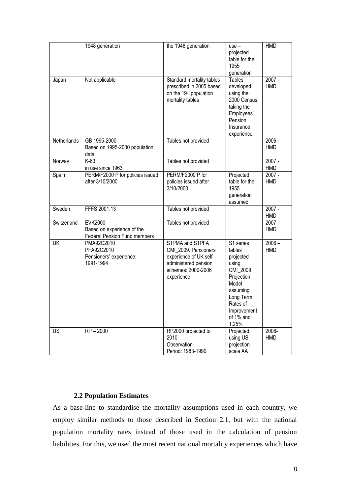|             | 1948 generation                                                              | the 1948 generation                                                                                                          | use –<br>projected<br>table for the<br>1955<br>generation                                                                                              | <b>HMD</b>             |
|-------------|------------------------------------------------------------------------------|------------------------------------------------------------------------------------------------------------------------------|--------------------------------------------------------------------------------------------------------------------------------------------------------|------------------------|
| Japan       | Not applicable                                                               | Standard mortality tables<br>prescribed in 2005 based<br>on the 19 <sup>th</sup> population<br>mortality tables              | <b>Tables</b><br>developed<br>using the<br>2000 Census,<br>taking the<br>Employees'<br>Pension<br>Insurance<br>experience                              | 2007 -<br><b>HMD</b>   |
| Netherlands | GB 1995-2000<br>Based on 1995-2000 population<br>data                        | Tables not provided                                                                                                          |                                                                                                                                                        | $2006 -$<br><b>HMD</b> |
| Norway      | K-63<br>in use since 1963                                                    | Tables not provided                                                                                                          |                                                                                                                                                        | 2007 -<br><b>HMD</b>   |
| Spain       | PERM/F2000 P for policies issued<br>after 3/10/2000                          | PERM/F2000 P for<br>policies issued after<br>3/10/2000                                                                       | Projected<br>table for the<br>1955<br>generation<br>assumed                                                                                            | 2007 -<br><b>HMD</b>   |
| Sweden      | FFFS 2001:13                                                                 | Tables not provided                                                                                                          |                                                                                                                                                        | 2007 -<br><b>HMD</b>   |
| Switzerland | <b>EVK2000</b><br>Based on experience of the<br>Federal Pension Fund members | Tables not provided                                                                                                          |                                                                                                                                                        | 2007 -<br><b>HMD</b>   |
| <b>UK</b>   | PMA92C2010<br>PFA92C2010<br>Pensioners' experience:<br>1991-1994             | S1PMA and S1PFA<br>CMI_2009. Pensioners<br>experience of UK self<br>administered pension<br>schemes: 2000-2006<br>experience | S1 series<br>tables<br>projected<br>using<br>CMI_2009<br>Projection<br>Model<br>assuming<br>Long Term<br>Rates of<br>Improvement<br>of 1% and<br>1.25% | $2006 -$<br><b>HMD</b> |
| <b>US</b>   | $RP - 2000$                                                                  | RP2000 projected to<br>2010<br>Observation<br>Period: 1983-1990                                                              | Projected<br>using US<br>projection<br>scale AA                                                                                                        | 2006-<br>HMD           |

## **2.2 Population Estimates**

As a base-line to standardise the mortality assumptions used in each country, we employ similar methods to those described in Section 2.1, but with the national population mortality rates instead of those used in the calculation of pension liabilities. For this, we used the most recent national mortality experiences which have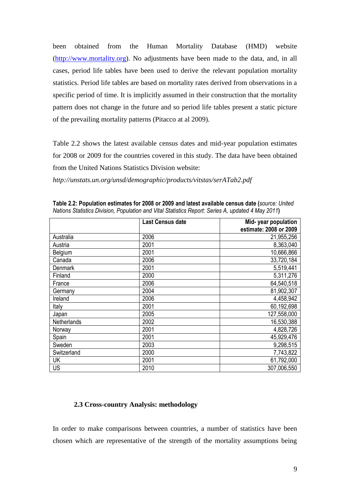been obtained from the Human Mortality Database (HMD) website [\(http://www.mortality.org\)](http://www.mortality.org/). No adjustments have been made to the data, and, in all cases, period life tables have been used to derive the relevant population mortality statistics. Period life tables are based on mortality rates derived from observations in a specific period of time. It is implicitly assumed in their construction that the mortality pattern does not change in the future and so period life tables present a static picture of the prevailing mortality patterns (Pitacco at al 2009).

Table 2.2 shows the latest available census dates and mid-year population estimates for 2008 or 2009 for the countries covered in this study. The data have been obtained from the United Nations Statistics Division website:

*http://unstats.un.org/unsd/demographic/products/vitstas/serATab2.pdf*

|                | <b>Last Census date</b> | Mid-year population<br>estimate: 2008 or 2009 |
|----------------|-------------------------|-----------------------------------------------|
| Australia      | 2006                    | 21,955,256                                    |
| Austria        | 2001                    | 8,363,040                                     |
| Belgium        | 2001                    | 10,666,866                                    |
| Canada         | 2006                    | 33,720,184                                    |
| <b>Denmark</b> | 2001                    | 5,519,441                                     |
| Finland        | 2000                    | 5,311,276                                     |
| France         | 2006                    | 64,540,518                                    |
| Germany        | 2004                    | 81,902,307                                    |
| Ireland        | 2006                    | 4,458,942                                     |
| Italy          | 2001                    | 60,192,698                                    |
| Japan          | 2005                    | 127,558,000                                   |
| Netherlands    | 2002                    | 16,530,388                                    |
| Norway         | 2001                    | 4,828,726                                     |
| Spain          | 2001                    | 45,929,476                                    |
| Sweden         | 2003                    | 9,298,515                                     |
| Switzerland    | 2000                    | 7,743,822                                     |
| UK             | 2001                    | 61,792,000                                    |
| <b>US</b>      | 2010                    | 307,006,550                                   |

**Table 2.2: Population estimates for 2008 or 2009 and latest available census date (***source: United Nations Statistics Division, Population and Vital Statistics Report: Series A, updated 4 May 2011***)**

## **2.3 Cross-country Analysis: methodology**

In order to make comparisons between countries, a number of statistics have been chosen which are representative of the strength of the mortality assumptions being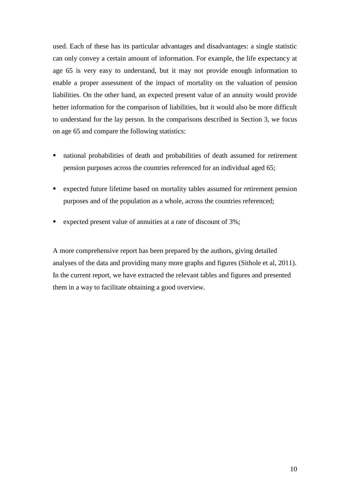used. Each of these has its particular advantages and disadvantages: a single statistic can only convey a certain amount of information. For example, the life expectancy at age 65 is very easy to understand, but it may not provide enough information to enable a proper assessment of the impact of mortality on the valuation of pension liabilities. On the other hand, an expected present value of an annuity would provide better information for the comparison of liabilities, but it would also be more difficult to understand for the lay person. In the comparisons described in Section 3, we focus on age 65 and compare the following statistics:

- national probabilities of death and probabilities of death assumed for retirement pension purposes across the countries referenced for an individual aged 65;
- expected future lifetime based on mortality tables assumed for retirement pension purposes and of the population as a whole, across the countries referenced;
- expected present value of annuities at a rate of discount of 3%;

A more comprehensive report has been prepared by the authors, giving detailed analyses of the data and providing many more graphs and figures (Sithole et al, 2011). In the current report, we have extracted the relevant tables and figures and presented them in a way to facilitate obtaining a good overview.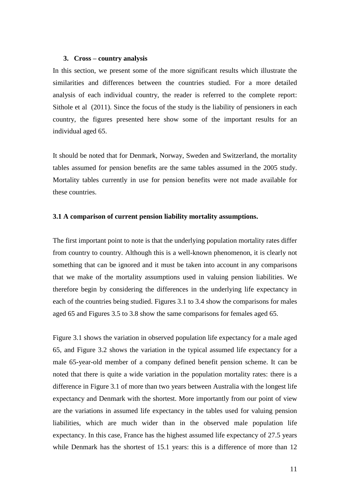#### **3. Cross – country analysis**

In this section, we present some of the more significant results which illustrate the similarities and differences between the countries studied. For a more detailed analysis of each individual country, the reader is referred to the complete report: Sithole et al (2011). Since the focus of the study is the liability of pensioners in each country, the figures presented here show some of the important results for an individual aged 65.

It should be noted that for Denmark, Norway, Sweden and Switzerland, the mortality tables assumed for pension benefits are the same tables assumed in the 2005 study. Mortality tables currently in use for pension benefits were not made available for these countries.

## **3.1 A comparison of current pension liability mortality assumptions.**

The first important point to note is that the underlying population mortality rates differ from country to country. Although this is a well-known phenomenon, it is clearly not something that can be ignored and it must be taken into account in any comparisons that we make of the mortality assumptions used in valuing pension liabilities. We therefore begin by considering the differences in the underlying life expectancy in each of the countries being studied. Figures 3.1 to 3.4 show the comparisons for males aged 65 and Figures 3.5 to 3.8 show the same comparisons for females aged 65.

Figure 3.1 shows the variation in observed population life expectancy for a male aged 65, and Figure 3.2 shows the variation in the typical assumed life expectancy for a male 65-year-old member of a company defined benefit pension scheme. It can be noted that there is quite a wide variation in the population mortality rates: there is a difference in Figure 3.1 of more than two years between Australia with the longest life expectancy and Denmark with the shortest. More importantly from our point of view are the variations in assumed life expectancy in the tables used for valuing pension liabilities, which are much wider than in the observed male population life expectancy. In this case, France has the highest assumed life expectancy of 27.5 years while Denmark has the shortest of 15.1 years: this is a difference of more than 12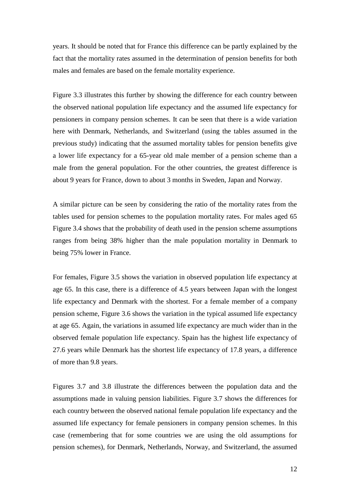years. It should be noted that for France this difference can be partly explained by the fact that the mortality rates assumed in the determination of pension benefits for both males and females are based on the female mortality experience.

Figure 3.3 illustrates this further by showing the difference for each country between the observed national population life expectancy and the assumed life expectancy for pensioners in company pension schemes. It can be seen that there is a wide variation here with Denmark, Netherlands, and Switzerland (using the tables assumed in the previous study) indicating that the assumed mortality tables for pension benefits give a lower life expectancy for a 65-year old male member of a pension scheme than a male from the general population. For the other countries, the greatest difference is about 9 years for France, down to about 3 months in Sweden, Japan and Norway.

A similar picture can be seen by considering the ratio of the mortality rates from the tables used for pension schemes to the population mortality rates. For males aged 65 Figure 3.4 shows that the probability of death used in the pension scheme assumptions ranges from being 38% higher than the male population mortality in Denmark to being 75% lower in France.

For females, Figure 3.5 shows the variation in observed population life expectancy at age 65. In this case, there is a difference of 4.5 years between Japan with the longest life expectancy and Denmark with the shortest. For a female member of a company pension scheme, Figure 3.6 shows the variation in the typical assumed life expectancy at age 65. Again, the variations in assumed life expectancy are much wider than in the observed female population life expectancy. Spain has the highest life expectancy of 27.6 years while Denmark has the shortest life expectancy of 17.8 years, a difference of more than 9.8 years.

Figures 3.7 and 3.8 illustrate the differences between the population data and the assumptions made in valuing pension liabilities. Figure 3.7 shows the differences for each country between the observed national female population life expectancy and the assumed life expectancy for female pensioners in company pension schemes. In this case (remembering that for some countries we are using the old assumptions for pension schemes), for Denmark, Netherlands, Norway, and Switzerland, the assumed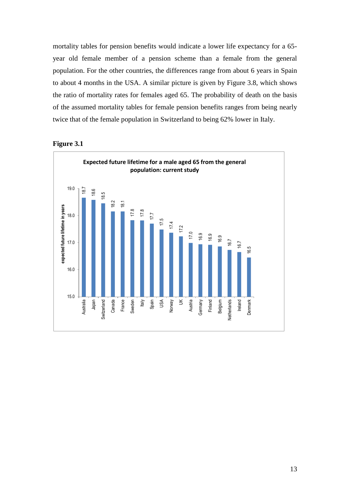mortality tables for pension benefits would indicate a lower life expectancy for a 65 year old female member of a pension scheme than a female from the general population. For the other countries, the differences range from about 6 years in Spain to about 4 months in the USA. A similar picture is given by Figure 3.8, which shows the ratio of mortality rates for females aged 65. The probability of death on the basis of the assumed mortality tables for female pension benefits ranges from being nearly twice that of the female population in Switzerland to being 62% lower in Italy.



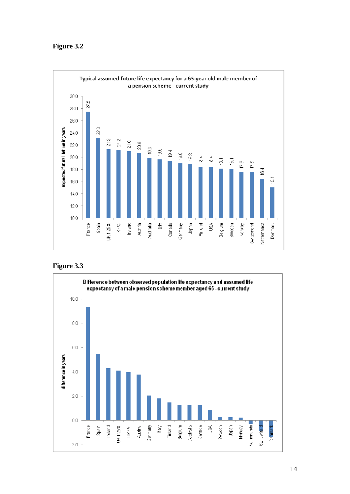

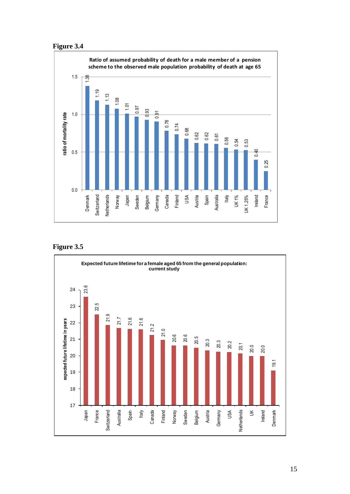

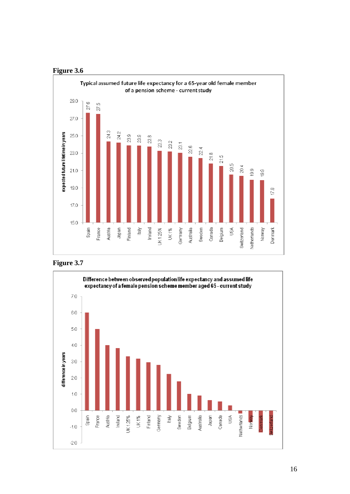



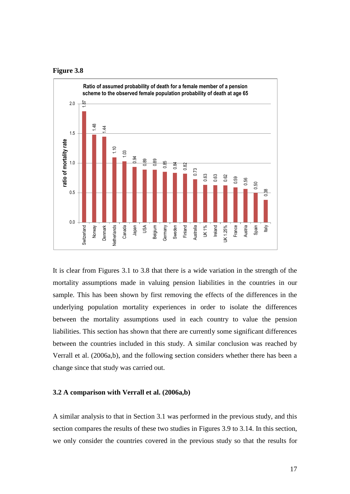



It is clear from Figures 3.1 to 3.8 that there is a wide variation in the strength of the mortality assumptions made in valuing pension liabilities in the countries in our sample. This has been shown by first removing the effects of the differences in the underlying population mortality experiences in order to isolate the differences between the mortality assumptions used in each country to value the pension liabilities. This section has shown that there are currently some significant differences between the countries included in this study. A similar conclusion was reached by Verrall et al. (2006a,b), and the following section considers whether there has been a change since that study was carried out.

#### **3.2 A comparison with Verrall et al. (2006a,b)**

A similar analysis to that in Section 3.1 was performed in the previous study, and this section compares the results of these two studies in Figures 3.9 to 3.14. In this section,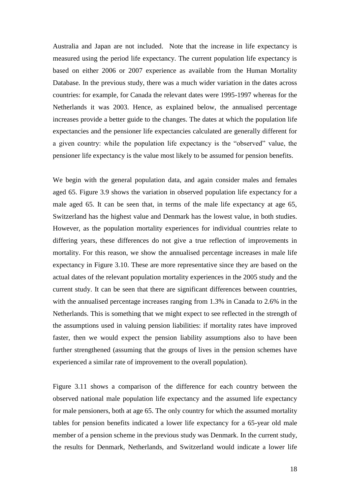Australia and Japan are not included. Note that the increase in life expectancy is measured using the period life expectancy. The current population life expectancy is based on either 2006 or 2007 experience as available from the Human Mortality Database. In the previous study, there was a much wider variation in the dates across countries: for example, for Canada the relevant dates were 1995-1997 whereas for the Netherlands it was 2003. Hence, as explained below, the annualised percentage increases provide a better guide to the changes. The dates at which the population life expectancies and the pensioner life expectancies calculated are generally different for a given country: while the population life expectancy is the "observed" value, the pensioner life expectancy is the value most likely to be assumed for pension benefits.

We begin with the general population data, and again consider males and females aged 65. Figure 3.9 shows the variation in observed population life expectancy for a male aged 65. It can be seen that, in terms of the male life expectancy at age 65, Switzerland has the highest value and Denmark has the lowest value, in both studies. However, as the population mortality experiences for individual countries relate to differing years, these differences do not give a true reflection of improvements in mortality. For this reason, we show the annualised percentage increases in male life expectancy in Figure 3.10. These are more representative since they are based on the actual dates of the relevant population mortality experiences in the 2005 study and the current study. It can be seen that there are significant differences between countries, with the annualised percentage increases ranging from 1.3% in Canada to 2.6% in the Netherlands. This is something that we might expect to see reflected in the strength of the assumptions used in valuing pension liabilities: if mortality rates have improved faster, then we would expect the pension liability assumptions also to have been further strengthened (assuming that the groups of lives in the pension schemes have experienced a similar rate of improvement to the overall population).

Figure 3.11 shows a comparison of the difference for each country between the observed national male population life expectancy and the assumed life expectancy for male pensioners, both at age 65. The only country for which the assumed mortality tables for pension benefits indicated a lower life expectancy for a 65-year old male member of a pension scheme in the previous study was Denmark. In the current study, the results for Denmark, Netherlands, and Switzerland would indicate a lower life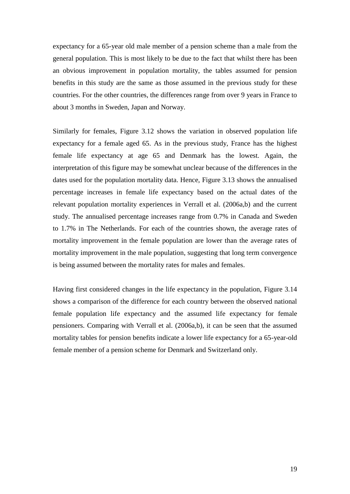expectancy for a 65-year old male member of a pension scheme than a male from the general population. This is most likely to be due to the fact that whilst there has been an obvious improvement in population mortality, the tables assumed for pension benefits in this study are the same as those assumed in the previous study for these countries. For the other countries, the differences range from over 9 years in France to about 3 months in Sweden, Japan and Norway.

Similarly for females, Figure 3.12 shows the variation in observed population life expectancy for a female aged 65. As in the previous study, France has the highest female life expectancy at age 65 and Denmark has the lowest. Again, the interpretation of this figure may be somewhat unclear because of the differences in the dates used for the population mortality data. Hence, Figure 3.13 shows the annualised percentage increases in female life expectancy based on the actual dates of the relevant population mortality experiences in Verrall et al. (2006a,b) and the current study. The annualised percentage increases range from 0.7% in Canada and Sweden to 1.7% in The Netherlands. For each of the countries shown, the average rates of mortality improvement in the female population are lower than the average rates of mortality improvement in the male population, suggesting that long term convergence is being assumed between the mortality rates for males and females.

Having first considered changes in the life expectancy in the population, Figure 3.14 shows a comparison of the difference for each country between the observed national female population life expectancy and the assumed life expectancy for female pensioners. Comparing with Verrall et al. (2006a,b), it can be seen that the assumed mortality tables for pension benefits indicate a lower life expectancy for a 65-year-old female member of a pension scheme for Denmark and Switzerland only.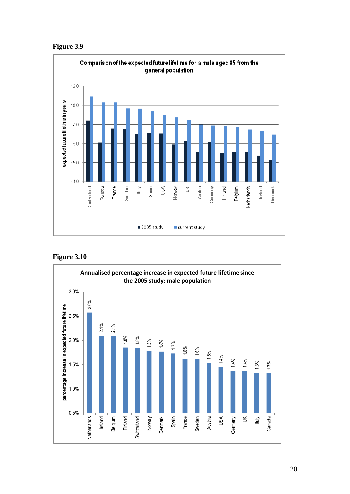![](_page_20_Figure_0.jpeg)

![](_page_20_Figure_1.jpeg)

![](_page_20_Figure_2.jpeg)

![](_page_20_Figure_3.jpeg)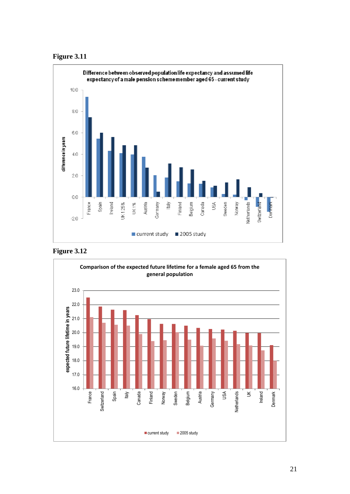![](_page_21_Figure_0.jpeg)

![](_page_21_Figure_1.jpeg)

![](_page_21_Figure_2.jpeg)

![](_page_21_Figure_3.jpeg)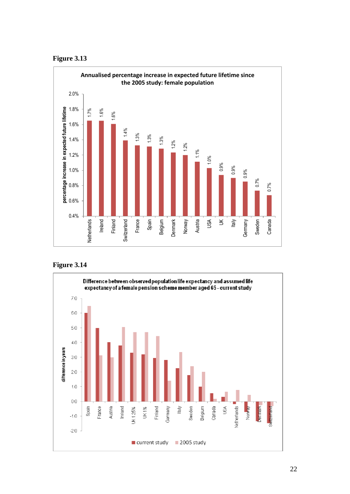![](_page_22_Figure_0.jpeg)

![](_page_22_Figure_1.jpeg)

![](_page_22_Figure_2.jpeg)

![](_page_22_Figure_3.jpeg)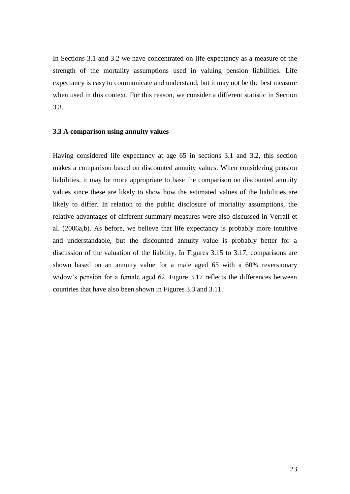In Sections 3.1 and 3.2 we have concentrated on life expectancy as a measure of the strength of the mortality assumptions used in valuing pension liabilities. Life expectancy is easy to communicate and understand, but it may not be the best measure when used in this context. For this reason, we consider a different statistic in Section 3.3.

#### **3.3 A comparison using annuity values**

Having considered life expectancy at age 65 in sections 3.1 and 3.2, this section makes a comparison based on discounted annuity values. When considering pension liabilities, it may be more appropriate to base the comparison on discounted annuity values since these are likely to show how the estimated values of the liabilities are likely to differ. In relation to the public disclosure of mortality assumptions, the relative advantages of different summary measures were also discussed in Verrall et al. (2006a,b). As before, we believe that life expectancy is probably more intuitive and understandable, but the discounted annuity value is probably better for a discussion of the valuation of the liability. In Figures 3.15 to 3.17, comparisons are shown based on an annuity value for a male aged 65 with a 60% reversionary widow's pension for a female aged 62. Figure 3.17 reflects the differences between countries that have also been shown in Figures 3.3 and 3.11.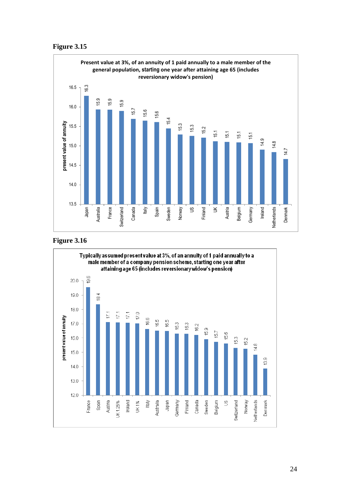![](_page_24_Figure_0.jpeg)

![](_page_24_Figure_1.jpeg)

![](_page_24_Figure_2.jpeg)

![](_page_24_Figure_3.jpeg)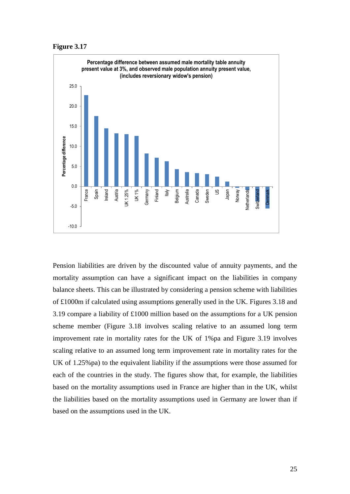![](_page_25_Figure_0.jpeg)

![](_page_25_Figure_1.jpeg)

Pension liabilities are driven by the discounted value of annuity payments, and the mortality assumption can have a significant impact on the liabilities in company balance sheets. This can be illustrated by considering a pension scheme with liabilities of £1000m if calculated using assumptions generally used in the UK. Figures 3.18 and 3.19 compare a liability of £1000 million based on the assumptions for a UK pension scheme member (Figure 3.18 involves scaling relative to an assumed long term improvement rate in mortality rates for the UK of 1%pa and Figure 3.19 involves scaling relative to an assumed long term improvement rate in mortality rates for the UK of 1.25%pa) to the equivalent liability if the assumptions were those assumed for each of the countries in the study. The figures show that, for example, the liabilities based on the mortality assumptions used in France are higher than in the UK, whilst the liabilities based on the mortality assumptions used in Germany are lower than if based on the assumptions used in the UK.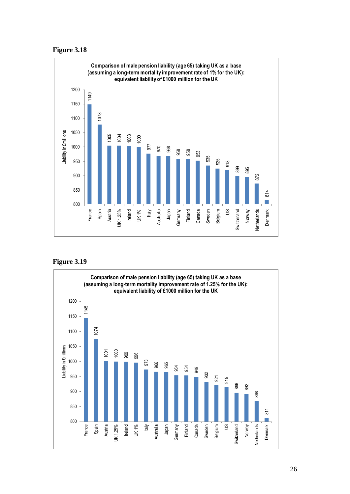![](_page_26_Figure_0.jpeg)

![](_page_26_Figure_1.jpeg)

![](_page_26_Figure_3.jpeg)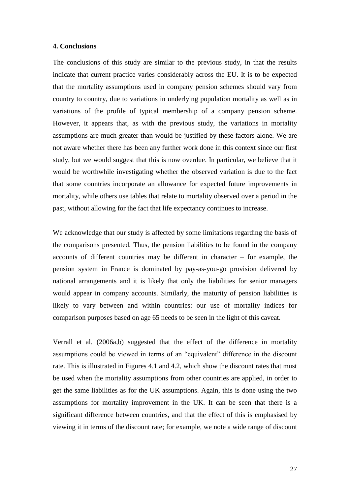### **4. Conclusions**

The conclusions of this study are similar to the previous study, in that the results indicate that current practice varies considerably across the EU. It is to be expected that the mortality assumptions used in company pension schemes should vary from country to country, due to variations in underlying population mortality as well as in variations of the profile of typical membership of a company pension scheme. However, it appears that, as with the previous study, the variations in mortality assumptions are much greater than would be justified by these factors alone. We are not aware whether there has been any further work done in this context since our first study, but we would suggest that this is now overdue. In particular, we believe that it would be worthwhile investigating whether the observed variation is due to the fact that some countries incorporate an allowance for expected future improvements in mortality, while others use tables that relate to mortality observed over a period in the past, without allowing for the fact that life expectancy continues to increase.

We acknowledge that our study is affected by some limitations regarding the basis of the comparisons presented. Thus, the pension liabilities to be found in the company accounts of different countries may be different in character – for example, the pension system in France is dominated by pay-as-you-go provision delivered by national arrangements and it is likely that only the liabilities for senior managers would appear in company accounts. Similarly, the maturity of pension liabilities is likely to vary between and within countries: our use of mortality indices for comparison purposes based on age 65 needs to be seen in the light of this caveat.

Verrall et al. (2006a,b) suggested that the effect of the difference in mortality assumptions could be viewed in terms of an "equivalent" difference in the discount rate. This is illustrated in Figures 4.1 and 4.2, which show the discount rates that must be used when the mortality assumptions from other countries are applied, in order to get the same liabilities as for the UK assumptions. Again, this is done using the two assumptions for mortality improvement in the UK. It can be seen that there is a significant difference between countries, and that the effect of this is emphasised by viewing it in terms of the discount rate; for example, we note a wide range of discount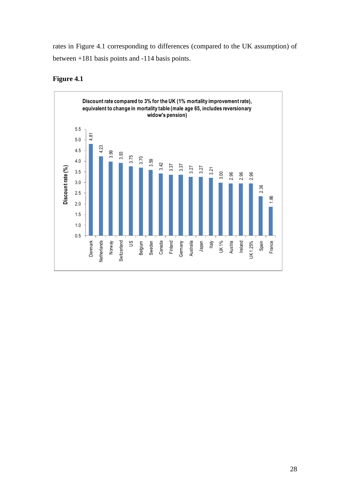rates in Figure 4.1 corresponding to differences (compared to the UK assumption) of between +181 basis points and -114 basis points.

![](_page_28_Figure_1.jpeg)

## **Figure 4.1**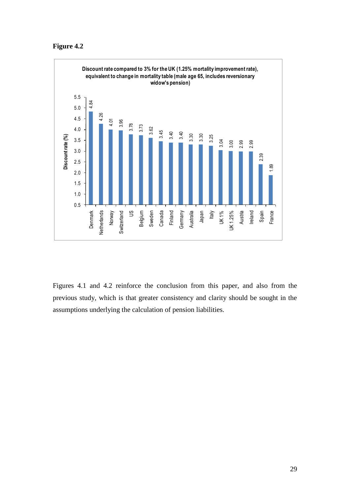## **Figure 4.2**

![](_page_29_Figure_1.jpeg)

Figures 4.1 and 4.2 reinforce the conclusion from this paper, and also from the previous study, which is that greater consistency and clarity should be sought in the assumptions underlying the calculation of pension liabilities.